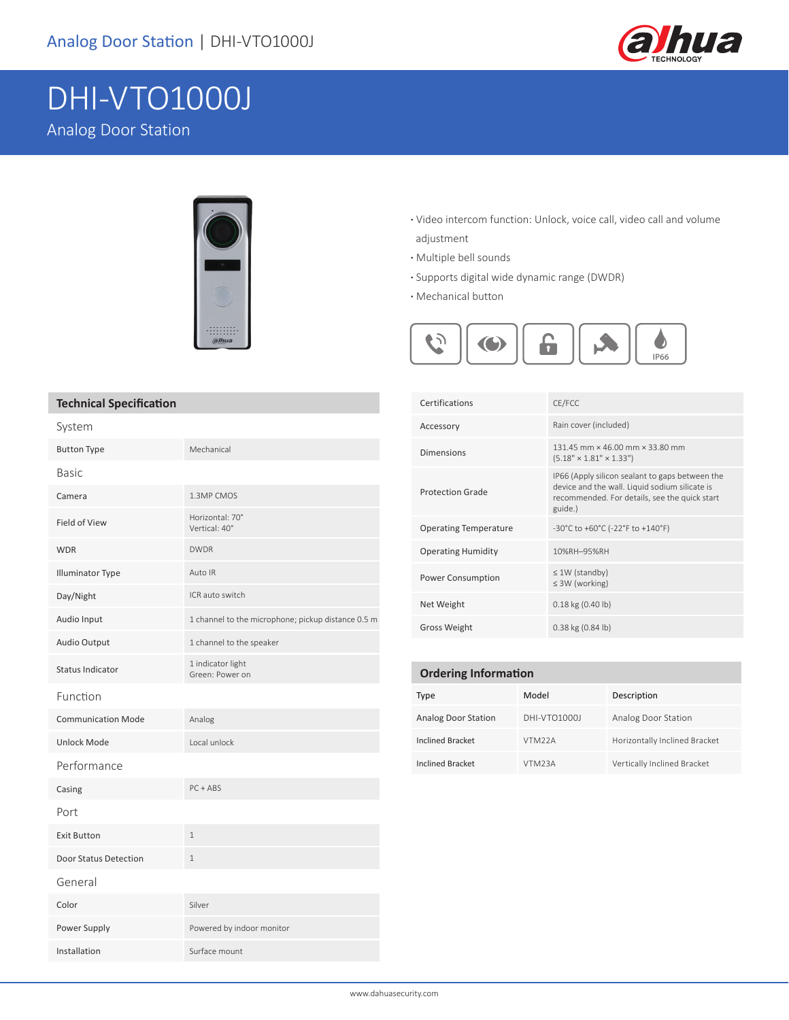

# DHI-VTO1000J

Analog Door Station



#### **·** Video intercom function: Unlock, voice call, video call and volume adjustment

- **·** Multiple bell sounds
- **·** Supports digital wide dynamic range (DWDR)
- **·** Mechanical button



| <b>Technical Specification</b> |  |
|--------------------------------|--|
|                                |  |

| System                    |                                                    |
|---------------------------|----------------------------------------------------|
| <b>Button Type</b>        | Mechanical                                         |
| <b>Basic</b>              |                                                    |
| Camera                    | 1.3MP CMOS                                         |
| <b>Field of View</b>      | Horizontal: 70°<br>Vertical: 40°                   |
| <b>WDR</b>                | <b>DWDR</b>                                        |
| <b>Illuminator Type</b>   | Auto IR                                            |
| Day/Night                 | ICR auto switch                                    |
| Audio Input               | 1 channel to the microphone; pickup distance 0.5 m |
| Audio Output              | 1 channel to the speaker                           |
| <b>Status Indicator</b>   | 1 indicator light<br>Green: Power on               |
| Function                  |                                                    |
| <b>Communication Mode</b> | Analog                                             |
| <b>Unlock Mode</b>        | Local unlock                                       |
| Performance               |                                                    |
| Casing                    | $PC + ABS$                                         |
| Port                      |                                                    |
| <b>Exit Button</b>        | $\mathbf{1}$                                       |
| Door Status Detection     | $\mathbf{1}$                                       |
| General                   |                                                    |
| Color                     | Silver                                             |
| Power Supply              | Powered by indoor monitor                          |
| Installation              | Surface mount                                      |

| Certifications               | CE/FCC                                                                                                                                                        |  |
|------------------------------|---------------------------------------------------------------------------------------------------------------------------------------------------------------|--|
| Accessory                    | Rain cover (included)                                                                                                                                         |  |
| Dimensions                   | 131.45 mm × 46.00 mm × 33.80 mm<br>$(5.18" \times 1.81" \times 1.33")$                                                                                        |  |
| <b>Protection Grade</b>      | IP66 (Apply silicon sealant to gaps between the<br>device and the wall. Liquid sodium silicate is<br>recommended. For details, see the quick start<br>guide.) |  |
| <b>Operating Temperature</b> | -30°C to +60°C (-22°F to +140°F)                                                                                                                              |  |
| <b>Operating Humidity</b>    | 10%RH-95%RH                                                                                                                                                   |  |
| <b>Power Consumption</b>     | $\leq 1W$ (standby)<br>$\leq$ 3W (working)                                                                                                                    |  |
| Net Weight                   | $0.18$ kg $(0.40$ lb)                                                                                                                                         |  |
| <b>Gross Weight</b>          | $0.38$ kg $(0.84$ lb)                                                                                                                                         |  |

| <b>Ordering Information</b> |                     |                               |  |  |
|-----------------------------|---------------------|-------------------------------|--|--|
| Type                        | Model               | Description                   |  |  |
| <b>Analog Door Station</b>  | DHI-VTO1000J        | Analog Door Station           |  |  |
| <b>Inclined Bracket</b>     | VTM <sub>22</sub> A | Horizontally Inclined Bracket |  |  |
| <b>Inclined Bracket</b>     | VTM <sub>23</sub> A | Vertically Inclined Bracket   |  |  |